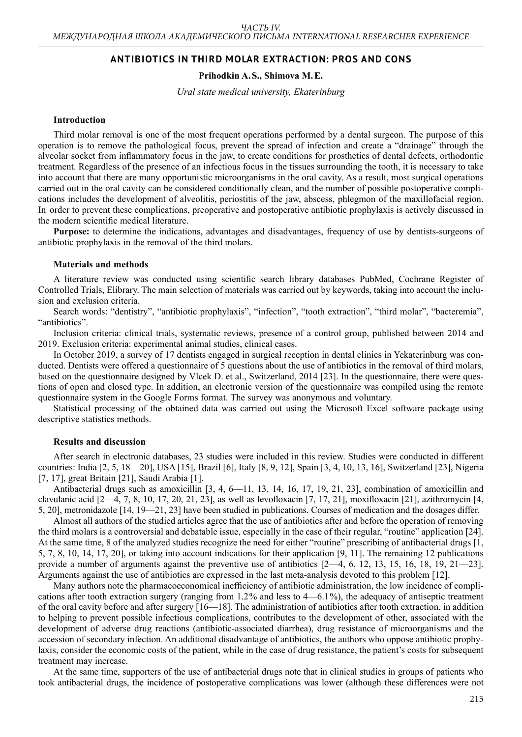# **ANTIBIOTICS IN THIRD MOLAR EXTRACTION: PROS AND CONS**

# **Prihodkin A.S., Shimova M.E.**

*Ural state medical university, Ekaterinburg*

## **Introduction**

Third molar removal is one of the most frequent operations performed by a dental surgeon. The purpose of this operation is to remove the pathological focus, prevent the spread of infection and create a "drainage" through the alveolar socket from inflammatory focus in the jaw, to create conditions for prosthetics of dental defects, orthodontic treatment. Regardless of the presence of an infectious focus in the tissues surrounding the tooth, it is necessary to take into account that there are many opportunistic microorganisms in the oral cavity. As a result, most surgical operations carried out in the oral cavity can be considered conditionally clean, and the number of possible postoperative complications includes the development of alveolitis, periostitis of the jaw, abscess, phlegmon of the maxillofacial region. In order to prevent these complications, preoperative and postoperative antibiotic prophylaxis is actively discussed in the modern scientific medical literature.

**Purpose:** to determine the indications, advantages and disadvantages, frequency of use by dentists-surgeons of antibiotic prophylaxis in the removal of the third molars.

# **Materials and methods**

A literature review was conducted using scientific search library databases PubMed, Cochrane Register of Controlled Trials, Elibrary. The main selection of materials was carried out by keywords, taking into account the inclusion and exclusion criteria.

Search words: "dentistry", "antibiotic prophylaxis", "infection", "tooth extraction", "third molar", "bacteremia", "antibiotics".

Inclusion criteria: clinical trials, systematic reviews, presence of a control group, published between 2014 and 2019. Exclusion criteria: experimental animal studies, clinical cases.

In October 2019, a survey of 17 dentists engaged in surgical reception in dental clinics in Yekaterinburg was conducted. Dentists were offered a questionnaire of 5 questions about the use of antibiotics in the removal of third molars, based on the questionnaire designed by Vlcek D. et al., Switzerland, 2014 [23]. In the questionnaire, there were questions of open and closed type. In addition, an electronic version of the questionnaire was compiled using the remote questionnaire system in the Google Forms format. The survey was anonymous and voluntary.

Statistical processing of the obtained data was carried out using the Microsoft Excel software package using descriptive statistics methods.

#### **Results and discussion**

After search in electronic databases, 23 studies were included in this review. Studies were conducted in different countries: India [2, 5, 18—20], USA [15], Brazil [6], Italy [8, 9, 12], Spain [3, 4, 10, 13, 16], Switzerland [23], Nigeria [7, 17], great Britain [21], Saudi Arabia [1].

Antibacterial drugs such as amoxicillin [3, 4, 6—11, 13, 14, 16, 17, 19, 21, 23], combination of amoxicillin and clavulanic acid [2—4, 7, 8, 10, 17, 20, 21, 23], as well as levofloxacin [7, 17, 21], moxifloxacin [21], azithromycin [4, 5, 20], metronidazole [14, 19—21, 23] have been studied in publications. Courses of medication and the dosages differ.

Almost all authors of the studied articles agree that the use of antibiotics after and before the operation of removing the third molars is a controversial and debatable issue, especially in the case of their regular, "routine" application [24]. At the same time, 8 of the analyzed studies recognize the need for either "routine" prescribing of antibacterial drugs [1, 5, 7, 8, 10, 14, 17, 20], or taking into account indications for their application [9, 11]. The remaining 12 publications provide a number of arguments against the preventive use of antibiotics [2—4, 6, 12, 13, 15, 16, 18, 19, 21—23]. Arguments against the use of antibiotics are expressed in the last meta-analysis devoted to this problem [12].

Many authors note the pharmacoeconomical inefficiency of antibiotic administration, the low incidence of complications after tooth extraction surgery (ranging from  $1.2\%$  and less to  $4-6.1\%$ ), the adequacy of antiseptic treatment of the oral cavity before and after surgery [16—18]. The administration of antibiotics after tooth extraction, in addition to helping to prevent possible infectious complications, contributes to the development of other, associated with the development of adverse drug reactions (antibiotic-associated diarrhea), drug resistance of microorganisms and the accession of secondary infection. An additional disadvantage of antibiotics, the authors who oppose antibiotic prophylaxis, consider the economic costs of the patient, while in the case of drug resistance, the patient's costs for subsequent treatment may increase.

At the same time, supporters of the use of antibacterial drugs note that in clinical studies in groups of patients who took antibacterial drugs, the incidence of postoperative complications was lower (although these differences were not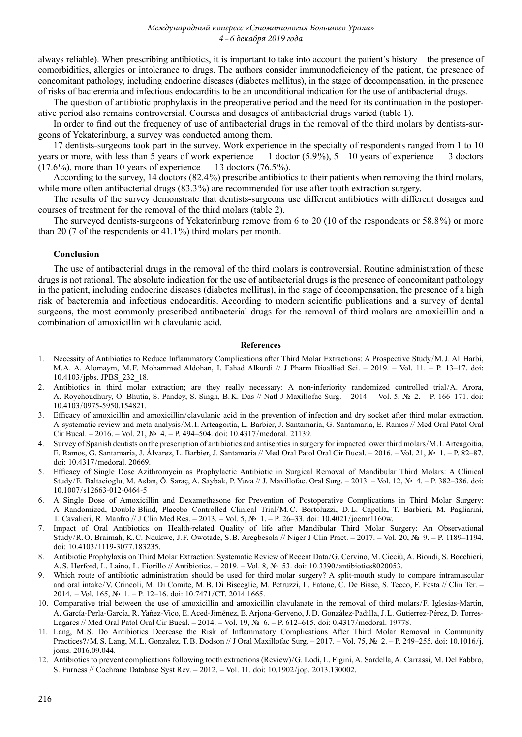always reliable). When prescribing antibiotics, it is important to take into account the patient's history – the presence of comorbidities, allergies or intolerance to drugs. The authors consider immunodeficiency of the patient, the presence of concomitant pathology, including endocrine diseases (diabetes mellitus), in the stage of decompensation, in the presence of risks of bacteremia and infectious endocarditis to be an unconditional indication for the use of antibacterial drugs.

The question of antibiotic prophylaxis in the preoperative period and the need for its continuation in the postoperative period also remains controversial. Courses and dosages of antibacterial drugs varied (table 1).

In order to find out the frequency of use of antibacterial drugs in the removal of the third molars by dentists-surgeons of Yekaterinburg, a survey was conducted among them.

17 dentists-surgeons took part in the survey. Work experience in the specialty of respondents ranged from 1 to 10 years or more, with less than 5 years of work experience  $-1$  doctor (5.9%), 5—10 years of experience — 3 doctors  $(17.6%)$ , more than 10 years of experience — 13 doctors  $(76.5%)$ .

According to the survey, 14 doctors (82.4 %) prescribe antibiotics to their patients when removing the third molars, while more often antibacterial drugs (83.3<sup>%</sup>) are recommended for use after tooth extraction surgery.

The results of the survey demonstrate that dentists-surgeons use different antibiotics with different dosages and courses of treatment for the removal of the third molars (table 2).

The surveyed dentists-surgeons of Yekaterinburg remove from 6 to 20 (10 of the respondents or 58.8 %) or more than 20 (7 of the respondents or 41.1 %) third molars per month.

## **Conclusion**

The use of antibacterial drugs in the removal of the third molars is controversial. Routine administration of these drugs is not rational. The absolute indication for the use of antibacterial drugs is the presence of concomitant pathology in the patient, including endocrine diseases (diabetes mellitus), in the stage of decompensation, the presence of a high risk of bacteremia and infectious endocarditis. According to modern scientific publications and a survey of dental surgeons, the most commonly prescribed antibacterial drugs for the removal of third molars are amoxicillin and a combination of amoxicillin with clavulanic acid.

#### **References**

- 1. Necessity of Antibiotics to Reduce Inflammatory Complications after Third Molar Extractions: A Prospective Study / M.J. Al Harbi, M.A. A. Alomaym, M.F. Mohammed Aldohan, I. Fahad Alkurdi // J Pharm Bioallied Sci. – 2019. – Vol. 11. – P. 13–17. doi: 10.4103 / jpbs. JPBS\_232\_18.
- 2. Antibiotics in third molar extraction; are they really necessary: A non-inferiority randomized controlled trial/A. Arora, A. Roychoudhury, O. Bhutia, S. Pandey, S. Singh, B.K. Das // Natl J Maxillofac Surg. – 2014. – Vol. 5, № 2. – P. 166–171. doi: 10.4103 / 0975-5950.154821.
- 3. Efficacy of amoxicillin and amoxicillin / clavulanic acid in the prevention of infection and dry socket after third molar extraction. A systematic review and meta-analysis / M.I. Arteagoitia, L. Barbier, J. Santamaría, G. Santamaría, E. Ramos // Med Oral Patol Oral Cir Bucal. – 2016. – Vol. 21, № 4. – P. 494–504. doi: 10.4317 / medoral. 21139.
- 4. Survey of Spanish dentists on the prescription of antibiotics and antiseptics in surgery for impacted lower third molars / M.I.Arteagoitia, E. Ramos, G. Santamaría, J. Álvarez, L. Barbier, J. Santamaría // Med Oral Patol Oral Cir Bucal. – 2016. – Vol. 21, № 1. – P. 82–87. doi: 10.4317/medoral. 20669.
- 5. Efficacy of Single Dose Azithromycin as Prophylactic Antibiotic in Surgical Removal of Mandibular Third Molars: A Clinical Study / E. Baltacioglu, M. Aslan, Ö. Saraç, A. Saybak, P. Yuva // J. Maxillofac. Oral Surg. – 2013. – Vol. 12, № 4. – P. 382–386. doi: 10.1007 / s12663‑012‑0464‑5
- 6. A Single Dose of Amoxicillin and Dexamethasone for Prevention of Postoperative Complications in Third Molar Surgery: A Randomized, Double-Blind, Placebo Controlled Clinical Trial/M.C. Bortoluzzi, D.L. Capella, T. Barbieri, M. Pagliarini, T. Cavalieri, R. Manfro // J Clin Med Res. – 2013. – Vol. 5, № 1. – P. 26–33. doi: 10.4021 / jocmr1160w.
- 7. Impact of Oral Antibiotics on Health-related Quality of life after Mandibular Third Molar Surgery: An Observational Study / R.O. Braimah, K.C. Ndukwe, J.F. Owotade, S.B. Aregbesola // Niger J Clin Pract. – 2017. – Vol. 20, № 9. – P. 1189–1194. doi: 10.4103/1119-3077.183235.
- 8. Antibiotic Prophylaxis on Third Molar Extraction: Systematic Review of Recent Data / G. Cervino, M. Cicciù, A. Biondi, S. Bocchieri, A.S. Herford, L. Laino, L. Fiorillo // Antibiotics. – 2019. – Vol. 8, № 53. doi: 10.3390 / antibiotics8020053.
- 9. Which route of antibiotic administration should be used for third molar surgery? A split-mouth study to compare intramuscular and oral intake / V. Crincoli, M. Di Comite, M.B. Di Bisceglie, M. Petruzzi, L. Fatone, C. De Biase, S. Tecco, F. Festa // Clin Ter. – 2014. – Vol. 165, № 1. – P. 12–16. doi: 10.7471 / CT. 2014.1665.
- 10. Comparative trial between the use of amoxicillin and amoxicillin clavulanate in the removal of third molars / F. Iglesias-Martín, A. García-Perla-García, R. Yañez-Vico, E. Aced-Jiménez, E. Arjona-Gerveno, J.D. González-Padilla, J.L. Gutierrez-Pérez, D. Torres-Lagares // Med Oral Patol Oral Cir Bucal. – 2014. – Vol. 19, № 6. – P. 612–615. doi: 0.4317 / medoral. 19778.
- 11. Lang, M.S. Do Antibiotics Decrease the Risk of Inflammatory Complications After Third Molar Removal in Community Practices?/M.S. Lang, M.L. Gonzalez, T.B. Dodson // J Oral Maxillofac Surg. -2017. – Vol. 75, № 2. – P. 249–255. doi: 10.1016/j. joms. 2016.09.044.
- 12. Antibiotics to prevent complications following tooth extractions (Review) / G. Lodi, L. Figini, A. Sardella, A. Carrassi, M. Del Fabbro, S. Furness // Cochrane Database Syst Rev. – 2012. – Vol. 11. doi: 10.1902 / jop. 2013.130002.